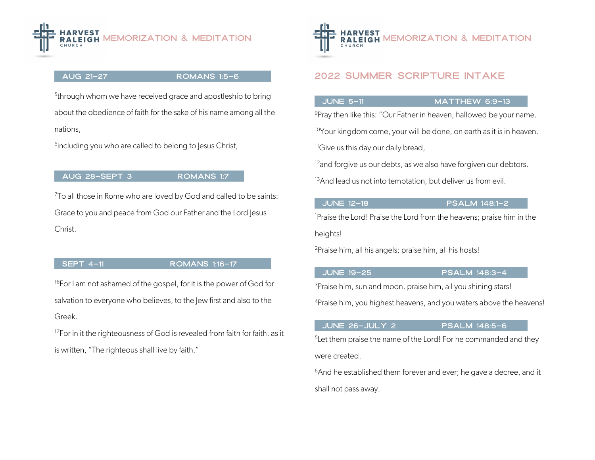

### aug 21–27 ROMANS 1:5–6

<sup>5</sup>through whom we have received grace and apostleship to bring about the obedience of faith for the sake of his name among all the nations,

<sup>6</sup>including you who are called to belong to Jesus Christ,

# aug 28–SEPT 3 ROMANS 1:7

7To all those in Rome who are loved by God and called to be saints: Grace to you and peace from God our Father and the Lord Jesus Christ.

### SEPT 4–11 ROMANS 1:16–17

<sup>16</sup>For I am not ashamed of the gospel, for it is the power of God for salvation to everyone who believes, to the lew first and also to the Greek.

<sup>17</sup>For in it the righteousness of God is revealed from faith for faith, as it is written, "The righteous shall live by faith."



# 2022 summer scripture intake

June 5–11 Matthew 6:9–13

9Pray then like this: "Our Father in heaven, hallowed be your name.

<sup>10</sup>Your kingdom come, your will be done, on earth as it is in heaven.

<sup>11</sup>Give us this day our daily bread,

<sup>12</sup>and forgive us our debts, as we also have forgiven our debtors.

<sup>13</sup>And lead us not into temptation, but deliver us from evil.

### JUNE 12-18 **PSALM 148:1–2**

<sup>1</sup>Praise the Lord! Praise the Lord from the heavens; praise him in the heights!

2Praise him, all his angels; praise him, all his hosts!

### JUNE 19-25 **PSALM 148:3-4**

<sup>3</sup>Praise him, sun and moon, praise him, all you shining stars!

4Praise him, you highest heavens, and you waters above the heavens!

### June 26–July 2 psalm 148:5–6

 $5$ Let them praise the name of the Lord! For he commanded and they were created.

 $6$ And he established them forever and ever; he gave a decree, and it shall not pass away.